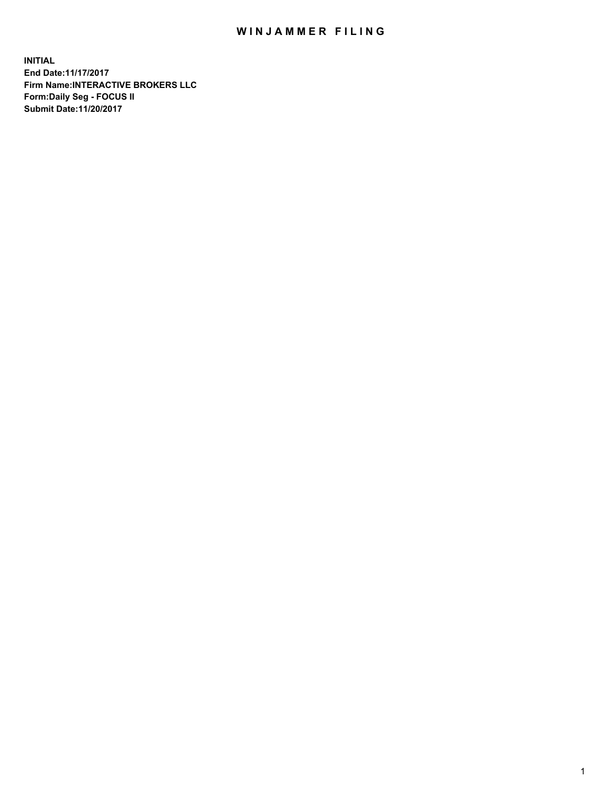## WIN JAMMER FILING

**INITIAL End Date:11/17/2017 Firm Name:INTERACTIVE BROKERS LLC Form:Daily Seg - FOCUS II Submit Date:11/20/2017**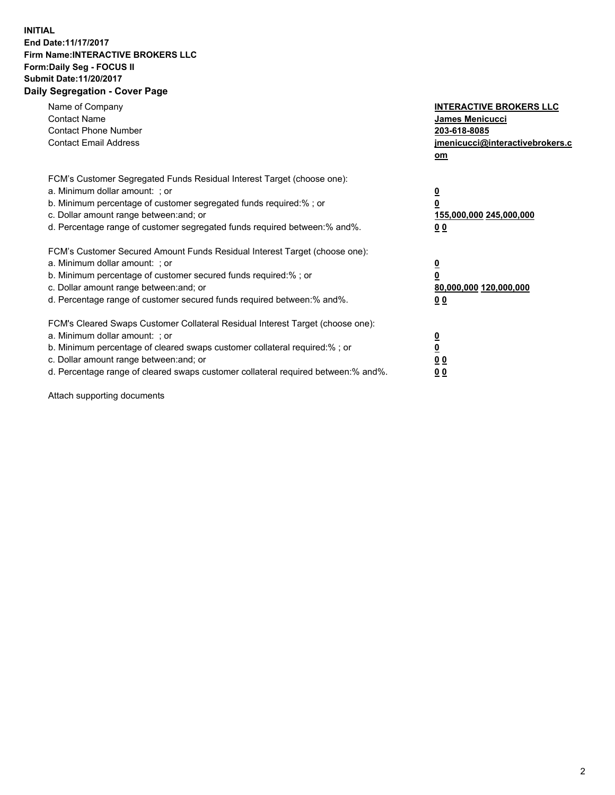## **INITIAL End Date:11/17/2017 Firm Name:INTERACTIVE BROKERS LLC Form:Daily Seg - FOCUS II Submit Date:11/20/2017 Daily Segregation - Cover Page**

| Name of Company<br><b>Contact Name</b><br><b>Contact Phone Number</b><br><b>Contact Email Address</b>                                                                                                                                                                                                                          | <b>INTERACTIVE BROKERS LLC</b><br>James Menicucci<br>203-618-8085<br><u>jmenicucci@interactivebrokers.c</u><br>om |
|--------------------------------------------------------------------------------------------------------------------------------------------------------------------------------------------------------------------------------------------------------------------------------------------------------------------------------|-------------------------------------------------------------------------------------------------------------------|
| FCM's Customer Segregated Funds Residual Interest Target (choose one):<br>a. Minimum dollar amount: ; or<br>b. Minimum percentage of customer segregated funds required:%; or<br>c. Dollar amount range between: and; or<br>d. Percentage range of customer segregated funds required between:% and%.                          | $\overline{\mathbf{0}}$<br>0<br>155,000,000 245,000,000<br>0 <sub>0</sub>                                         |
| FCM's Customer Secured Amount Funds Residual Interest Target (choose one):<br>a. Minimum dollar amount: ; or<br>b. Minimum percentage of customer secured funds required:%; or<br>c. Dollar amount range between: and; or<br>d. Percentage range of customer secured funds required between:% and%.                            | $\overline{\mathbf{0}}$<br>$\overline{\mathbf{0}}$<br>80,000,000 120,000,000<br>00                                |
| FCM's Cleared Swaps Customer Collateral Residual Interest Target (choose one):<br>a. Minimum dollar amount: ; or<br>b. Minimum percentage of cleared swaps customer collateral required:% ; or<br>c. Dollar amount range between: and; or<br>d. Percentage range of cleared swaps customer collateral required between:% and%. | $\overline{\mathbf{0}}$<br>$\overline{\mathbf{0}}$<br>0 <sub>0</sub><br><u>00</u>                                 |

Attach supporting documents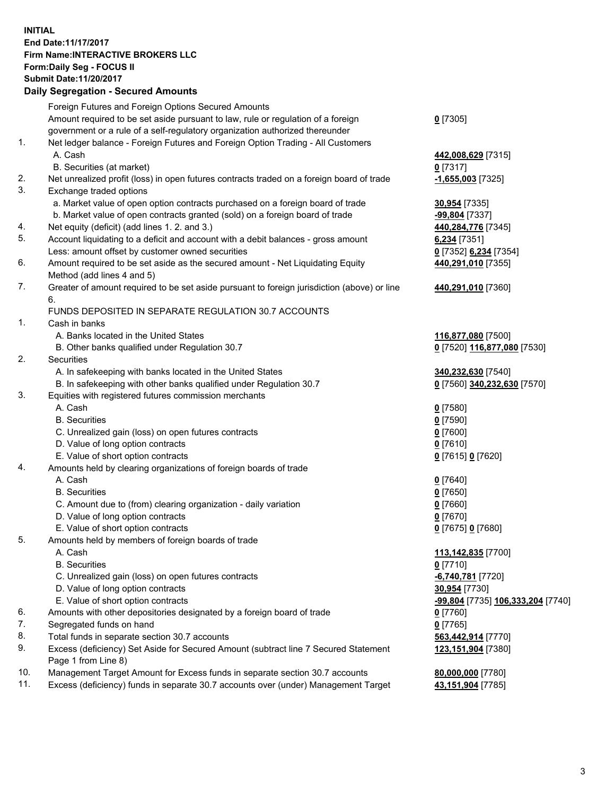## **INITIAL End Date:11/17/2017 Firm Name:INTERACTIVE BROKERS LLC Form:Daily Seg - FOCUS II Submit Date:11/20/2017 Daily Segregation - Secured Amounts**

|     | Daily Ocglegation - Occured Aniounts                                                        |                                   |
|-----|---------------------------------------------------------------------------------------------|-----------------------------------|
|     | Foreign Futures and Foreign Options Secured Amounts                                         |                                   |
|     | Amount required to be set aside pursuant to law, rule or regulation of a foreign            | $0$ [7305]                        |
|     | government or a rule of a self-regulatory organization authorized thereunder                |                                   |
| 1.  | Net ledger balance - Foreign Futures and Foreign Option Trading - All Customers             |                                   |
|     | A. Cash                                                                                     | 442,008,629 [7315]                |
|     | B. Securities (at market)                                                                   | $0$ [7317]                        |
| 2.  | Net unrealized profit (loss) in open futures contracts traded on a foreign board of trade   | $-1,655,003$ [7325]               |
| 3.  | Exchange traded options                                                                     |                                   |
|     | a. Market value of open option contracts purchased on a foreign board of trade              |                                   |
|     |                                                                                             | <b>30,954</b> [7335]              |
|     | b. Market value of open contracts granted (sold) on a foreign board of trade                | -99,804 [7337]                    |
| 4.  | Net equity (deficit) (add lines 1.2. and 3.)                                                | 440,284,776 [7345]                |
| 5.  | Account liquidating to a deficit and account with a debit balances - gross amount           | 6,234 [7351]                      |
|     | Less: amount offset by customer owned securities                                            | 0 [7352] 6,234 [7354]             |
| 6.  | Amount required to be set aside as the secured amount - Net Liquidating Equity              | 440,291,010 [7355]                |
|     | Method (add lines 4 and 5)                                                                  |                                   |
| 7.  | Greater of amount required to be set aside pursuant to foreign jurisdiction (above) or line | 440,291,010 [7360]                |
|     | 6.                                                                                          |                                   |
|     | FUNDS DEPOSITED IN SEPARATE REGULATION 30.7 ACCOUNTS                                        |                                   |
| 1.  | Cash in banks                                                                               |                                   |
|     | A. Banks located in the United States                                                       | 116,877,080 [7500]                |
|     | B. Other banks qualified under Regulation 30.7                                              | 0 [7520] 116,877,080 [7530]       |
| 2.  | <b>Securities</b>                                                                           |                                   |
|     | A. In safekeeping with banks located in the United States                                   | 340,232,630 [7540]                |
|     | B. In safekeeping with other banks qualified under Regulation 30.7                          | 0 [7560] 340,232,630 [7570]       |
| 3.  | Equities with registered futures commission merchants                                       |                                   |
|     | A. Cash                                                                                     | $0$ [7580]                        |
|     | <b>B.</b> Securities                                                                        | $0$ [7590]                        |
|     | C. Unrealized gain (loss) on open futures contracts                                         | $0$ [7600]                        |
|     | D. Value of long option contracts                                                           | $0$ [7610]                        |
|     | E. Value of short option contracts                                                          |                                   |
| 4.  |                                                                                             | 0 [7615] 0 [7620]                 |
|     | Amounts held by clearing organizations of foreign boards of trade                           |                                   |
|     | A. Cash                                                                                     | $0$ [7640]                        |
|     | <b>B.</b> Securities                                                                        | $0$ [7650]                        |
|     | C. Amount due to (from) clearing organization - daily variation                             | $0$ [7660]                        |
|     | D. Value of long option contracts                                                           | $0$ [7670]                        |
|     | E. Value of short option contracts                                                          | 0 [7675] 0 [7680]                 |
| 5.  | Amounts held by members of foreign boards of trade                                          |                                   |
|     | A. Cash                                                                                     | 113,142,835 [7700]                |
|     | <b>B.</b> Securities                                                                        | $0$ [7710]                        |
|     | C. Unrealized gain (loss) on open futures contracts                                         | -6,740,781 [7720]                 |
|     | D. Value of long option contracts                                                           | 30,954 [7730]                     |
|     | E. Value of short option contracts                                                          | -99,804 [7735] 106,333,204 [7740] |
| 6.  | Amounts with other depositories designated by a foreign board of trade                      | 0 [7760]                          |
| 7.  | Segregated funds on hand                                                                    | $0$ [7765]                        |
| 8.  | Total funds in separate section 30.7 accounts                                               | 563,442,914 [7770]                |
| 9.  | Excess (deficiency) Set Aside for Secured Amount (subtract line 7 Secured Statement         | 123,151,904 [7380]                |
|     | Page 1 from Line 8)                                                                         |                                   |
| 10. | Management Target Amount for Excess funds in separate section 30.7 accounts                 | 80,000,000 [7780]                 |
| 11. | Excess (deficiency) funds in separate 30.7 accounts over (under) Management Target          | 43,151,904 [7785]                 |
|     |                                                                                             |                                   |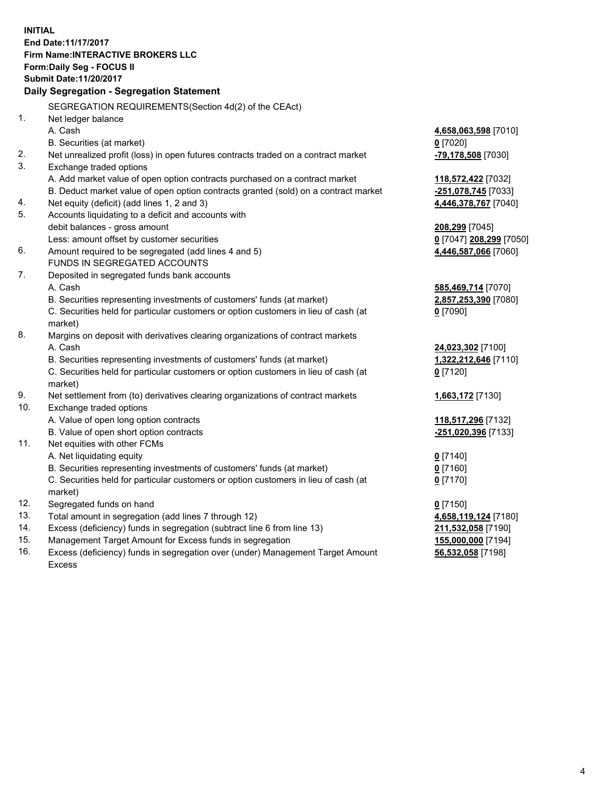**INITIAL End Date:11/17/2017 Firm Name:INTERACTIVE BROKERS LLC Form:Daily Seg - FOCUS II Submit Date:11/20/2017 Daily Segregation - Segregation Statement** SEGREGATION REQUIREMENTS(Section 4d(2) of the CEAct) 1. Net ledger balance A. Cash **4,658,063,598** [7010] B. Securities (at market) **0** [7020] 2. Net unrealized profit (loss) in open futures contracts traded on a contract market **-79,178,508** [7030] 3. Exchange traded options A. Add market value of open option contracts purchased on a contract market **118,572,422** [7032] B. Deduct market value of open option contracts granted (sold) on a contract market **-251,078,745** [7033] 4. Net equity (deficit) (add lines 1, 2 and 3) **4,446,378,767** [7040] 5. Accounts liquidating to a deficit and accounts with debit balances - gross amount **208,299** [7045] Less: amount offset by customer securities **0** [7047] **208,299** [7050] 6. Amount required to be segregated (add lines 4 and 5) **4,446,587,066** [7060] FUNDS IN SEGREGATED ACCOUNTS 7. Deposited in segregated funds bank accounts A. Cash **585,469,714** [7070] B. Securities representing investments of customers' funds (at market) **2,857,253,390** [7080] C. Securities held for particular customers or option customers in lieu of cash (at market) **0** [7090] 8. Margins on deposit with derivatives clearing organizations of contract markets A. Cash **24,023,302** [7100] B. Securities representing investments of customers' funds (at market) **1,322,212,646** [7110] C. Securities held for particular customers or option customers in lieu of cash (at market) **0** [7120] 9. Net settlement from (to) derivatives clearing organizations of contract markets **1,663,172** [7130] 10. Exchange traded options A. Value of open long option contracts **118,517,296** [7132] B. Value of open short option contracts **-251,020,396** [7133] 11. Net equities with other FCMs A. Net liquidating equity **0** [7140] B. Securities representing investments of customers' funds (at market) **0** [7160] C. Securities held for particular customers or option customers in lieu of cash (at market) **0** [7170] 12. Segregated funds on hand **0** [7150] 13. Total amount in segregation (add lines 7 through 12) **4,658,119,124** [7180] 14. Excess (deficiency) funds in segregation (subtract line 6 from line 13) **211,532,058** [7190] 15. Management Target Amount for Excess funds in segregation **155,000,000** [7194] **56,532,058** [7198]

16. Excess (deficiency) funds in segregation over (under) Management Target Amount Excess